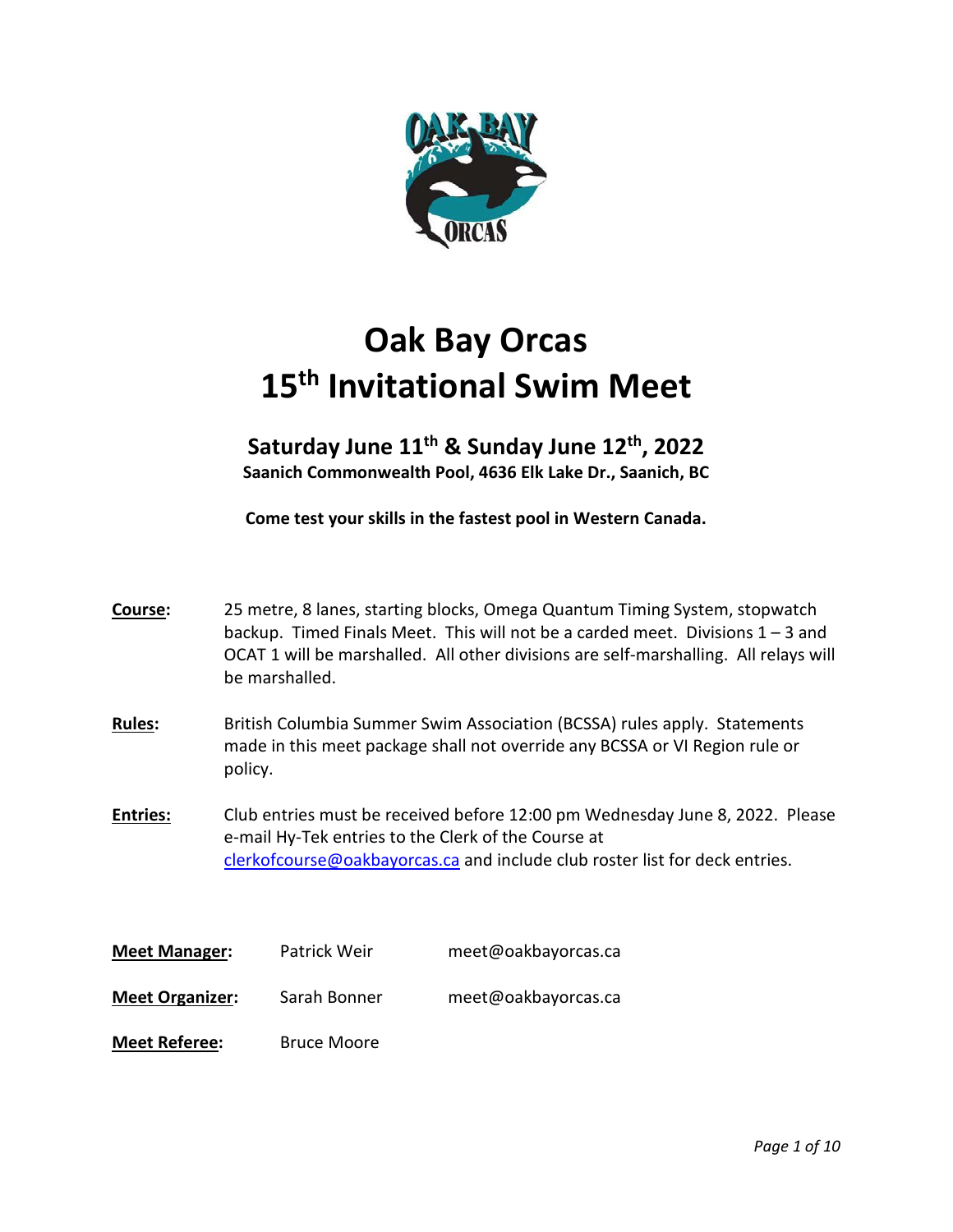

# **Oak Bay Orcas 15th Invitational Swim Meet**

## **Saturday June 11th & Sunday June 12th, 2022 Saanich Commonwealth Pool, 4636 Elk Lake Dr., Saanich, BC**

**Come test your skills in the fastest pool in Western Canada.** 

| Course:                | 25 metre, 8 lanes, starting blocks, Omega Quantum Timing System, stopwatch<br>backup. Timed Finals Meet. This will not be a carded meet. Divisions $1 - 3$ and<br>OCAT 1 will be marshalled. All other divisions are self-marshalling. All relays will<br>be marshalled. |                                                                                                                                                                                                                    |                     |  |  |  |
|------------------------|--------------------------------------------------------------------------------------------------------------------------------------------------------------------------------------------------------------------------------------------------------------------------|--------------------------------------------------------------------------------------------------------------------------------------------------------------------------------------------------------------------|---------------------|--|--|--|
| Rules:                 | policy.                                                                                                                                                                                                                                                                  | British Columbia Summer Swim Association (BCSSA) rules apply. Statements<br>made in this meet package shall not override any BCSSA or VI Region rule or                                                            |                     |  |  |  |
| <b>Entries:</b>        |                                                                                                                                                                                                                                                                          | Club entries must be received before 12:00 pm Wednesday June 8, 2022. Please<br>e-mail Hy-Tek entries to the Clerk of the Course at<br>clerkofcourse@oakbayorcas.ca and include club roster list for deck entries. |                     |  |  |  |
| <b>Meet Manager:</b>   |                                                                                                                                                                                                                                                                          | Patrick Weir                                                                                                                                                                                                       | meet@oakbayorcas.ca |  |  |  |
| <b>Meet Organizer:</b> |                                                                                                                                                                                                                                                                          | Sarah Bonner                                                                                                                                                                                                       | meet@oakbayorcas.ca |  |  |  |
| <b>Meet Referee:</b>   |                                                                                                                                                                                                                                                                          | <b>Bruce Moore</b>                                                                                                                                                                                                 |                     |  |  |  |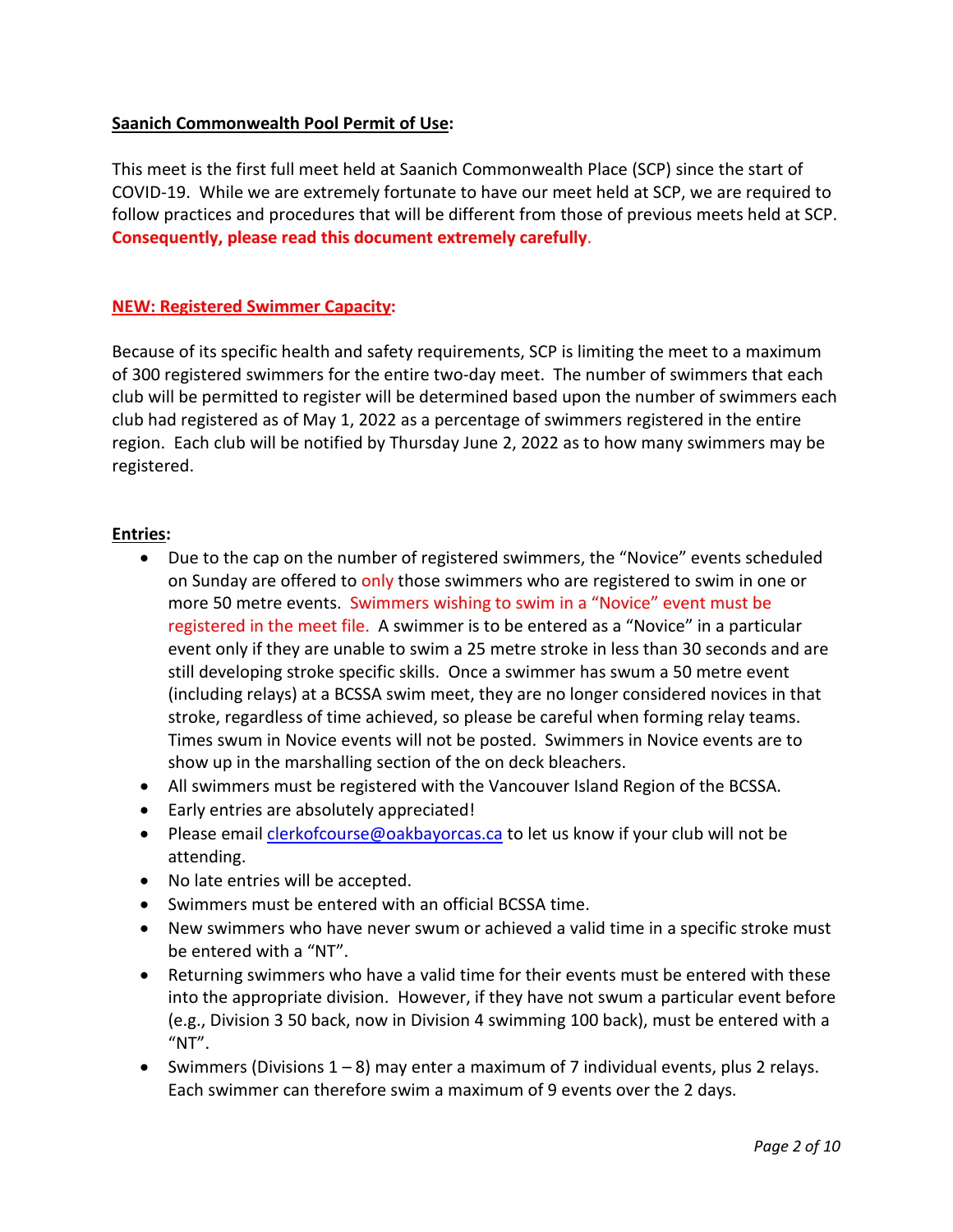## **Saanich Commonwealth Pool Permit of Use:**

This meet is the first full meet held at Saanich Commonwealth Place (SCP) since the start of COVID-19. While we are extremely fortunate to have our meet held at SCP, we are required to follow practices and procedures that will be different from those of previous meets held at SCP. **Consequently, please read this document extremely carefully**.

## **NEW: Registered Swimmer Capacity:**

Because of its specific health and safety requirements, SCP is limiting the meet to a maximum of 300 registered swimmers for the entire two-day meet. The number of swimmers that each club will be permitted to register will be determined based upon the number of swimmers each club had registered as of May 1, 2022 as a percentage of swimmers registered in the entire region. Each club will be notified by Thursday June 2, 2022 as to how many swimmers may be registered.

## **Entries:**

- Due to the cap on the number of registered swimmers, the "Novice" events scheduled on Sunday are offered to only those swimmers who are registered to swim in one or more 50 metre events. Swimmers wishing to swim in a "Novice" event must be registered in the meet file. A swimmer is to be entered as a "Novice" in a particular event only if they are unable to swim a 25 metre stroke in less than 30 seconds and are still developing stroke specific skills. Once a swimmer has swum a 50 metre event (including relays) at a BCSSA swim meet, they are no longer considered novices in that stroke, regardless of time achieved, so please be careful when forming relay teams. Times swum in Novice events will not be posted. Swimmers in Novice events are to show up in the marshalling section of the on deck bleachers.
- All swimmers must be registered with the Vancouver Island Region of the BCSSA.
- Early entries are absolutely appreciated!
- Please email *clerkofcourse@oakbayorcas.ca* to let us know if your club will not be attending.
- No late entries will be accepted.
- Swimmers must be entered with an official BCSSA time.
- New swimmers who have never swum or achieved a valid time in a specific stroke must be entered with a "NT".
- Returning swimmers who have a valid time for their events must be entered with these into the appropriate division. However, if they have not swum a particular event before (e.g., Division 3 50 back, now in Division 4 swimming 100 back), must be entered with a  $"NT".$
- Swimmers (Divisions 1 8) may enter a maximum of 7 individual events, plus 2 relays. Each swimmer can therefore swim a maximum of 9 events over the 2 days.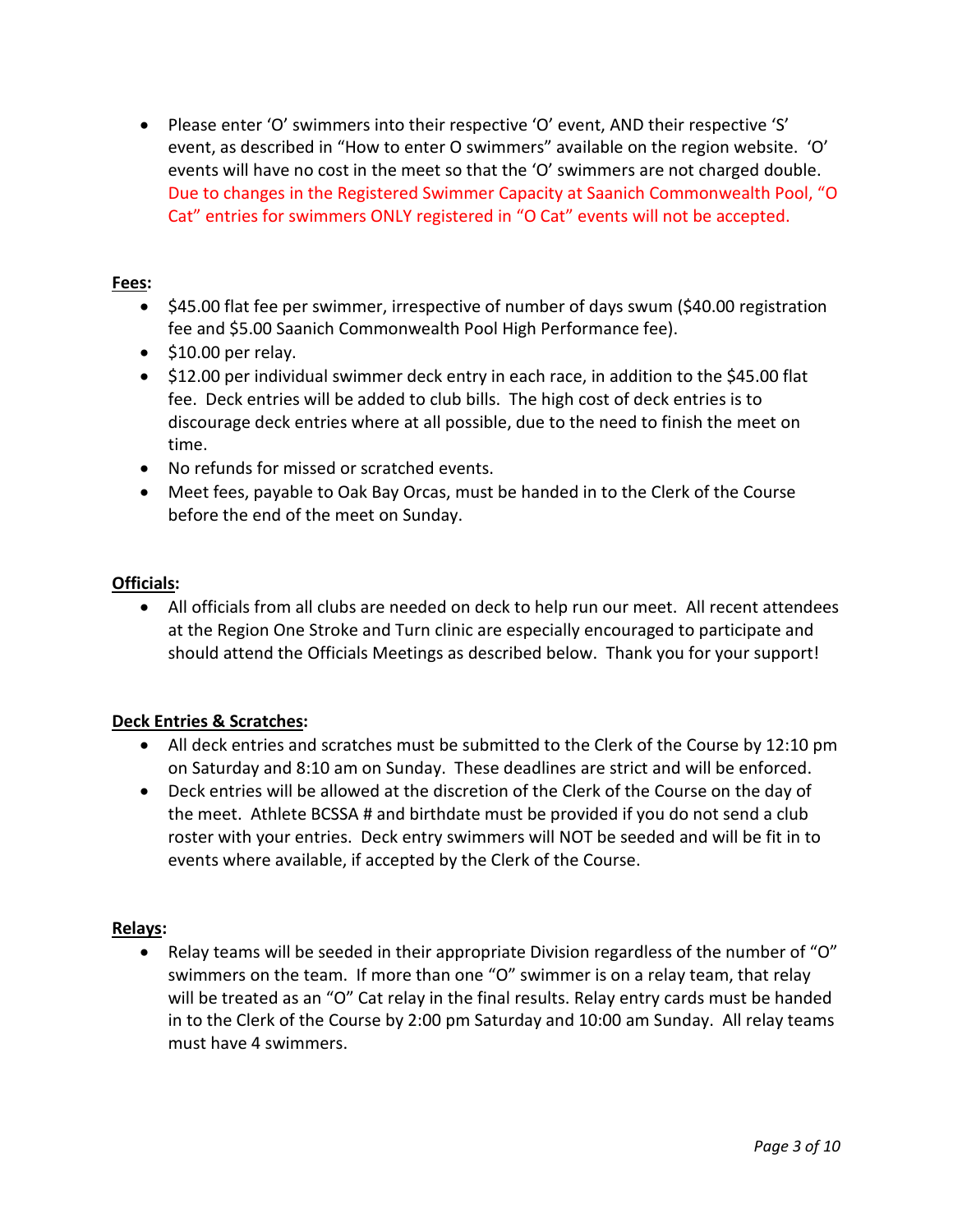• Please enter 'O' swimmers into their respective 'O' event, AND their respective 'S' event, as described in "How to enter O swimmers" available on the region website.'O' events will have no cost in the meet so that the 'O' swimmers are not charged double. Due to changes in the Registered Swimmer Capacity at Saanich Commonwealth Pool, "O Cat" entries for swimmers ONLY registered in "O Cat" events will not be accepted.

## **Fees:**

- \$45.00 flat fee per swimmer, irrespective of number of days swum (\$40.00 registration fee and \$5.00 Saanich Commonwealth Pool High Performance fee).
- \$10.00 per relay.
- \$12.00 per individual swimmer deck entry in each race, in addition to the \$45.00 flat fee. Deck entries will be added to club bills. The high cost of deck entries is to discourage deck entries where at all possible, due to the need to finish the meet on time.
- No refunds for missed or scratched events.
- Meet fees, payable to Oak Bay Orcas, must be handed in to the Clerk of the Course before the end of the meet on Sunday.

## **Officials:**

• All officials from all clubs are needed on deck to help run our meet. All recent attendees at the Region One Stroke and Turn clinic are especially encouraged to participate and should attend the Officials Meetings as described below. Thank you for your support!

## **Deck Entries & Scratches:**

- All deck entries and scratches must be submitted to the Clerk of the Course by 12:10 pm on Saturday and 8:10 am on Sunday. These deadlines are strict and will be enforced.
- Deck entries will be allowed at the discretion of the Clerk of the Course on the day of the meet. Athlete BCSSA # and birthdate must be provided if you do not send a club roster with your entries. Deck entry swimmers will NOT be seeded and will be fit in to events where available, if accepted by the Clerk of the Course.

## **Relays:**

• Relay teams will be seeded in their appropriate Division regardless of the number of "O" swimmers on the team. If more than one "O" swimmer is on a relay team, that relay will be treated as an "O" Cat relay in the final results. Relay entry cards must be handed in to the Clerk of the Course by 2:00 pm Saturday and 10:00 am Sunday. All relay teams must have 4 swimmers.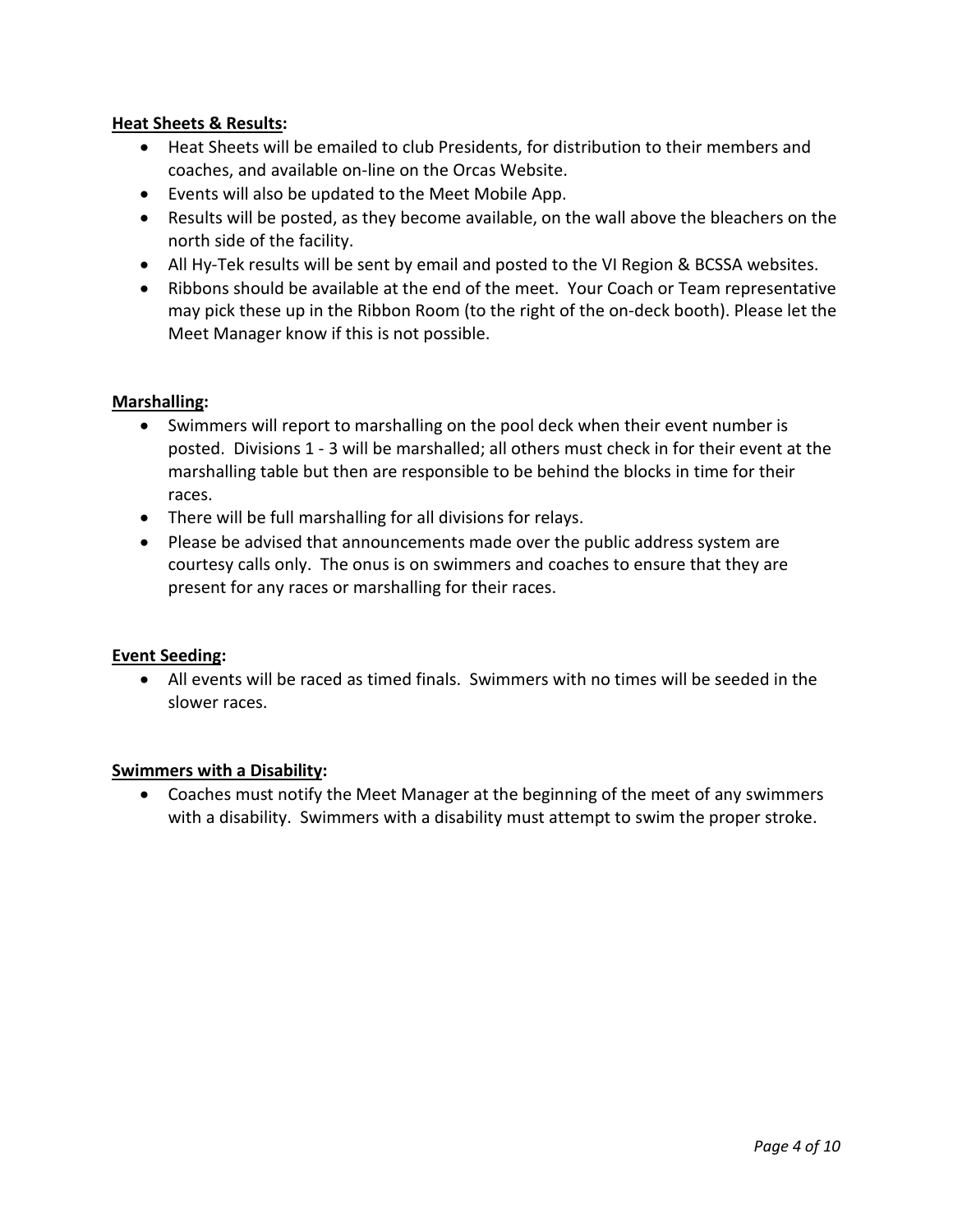## **Heat Sheets & Results:**

- Heat Sheets will be emailed to club Presidents, for distribution to their members and coaches, and available on-line on the Orcas Website.
- Events will also be updated to the Meet Mobile App.
- Results will be posted, as they become available, on the wall above the bleachers on the north side of the facility.
- All Hy-Tek results will be sent by email and posted to the VI Region & BCSSA websites.
- Ribbons should be available at the end of the meet. Your Coach or Team representative may pick these up in the Ribbon Room (to the right of the on-deck booth). Please let the Meet Manager know if this is not possible.

## **Marshalling:**

- Swimmers will report to marshalling on the pool deck when their event number is posted. Divisions 1 - 3 will be marshalled; all others must check in for their event at the marshalling table but then are responsible to be behind the blocks in time for their races.
- There will be full marshalling for all divisions for relays.
- Please be advised that announcements made over the public address system are courtesy calls only. The onus is on swimmers and coaches to ensure that they are present for any races or marshalling for their races.

#### **Event Seeding:**

• All events will be raced as timed finals. Swimmers with no times will be seeded in the slower races.

#### **Swimmers with a Disability:**

• Coaches must notify the Meet Manager at the beginning of the meet of any swimmers with a disability. Swimmers with a disability must attempt to swim the proper stroke.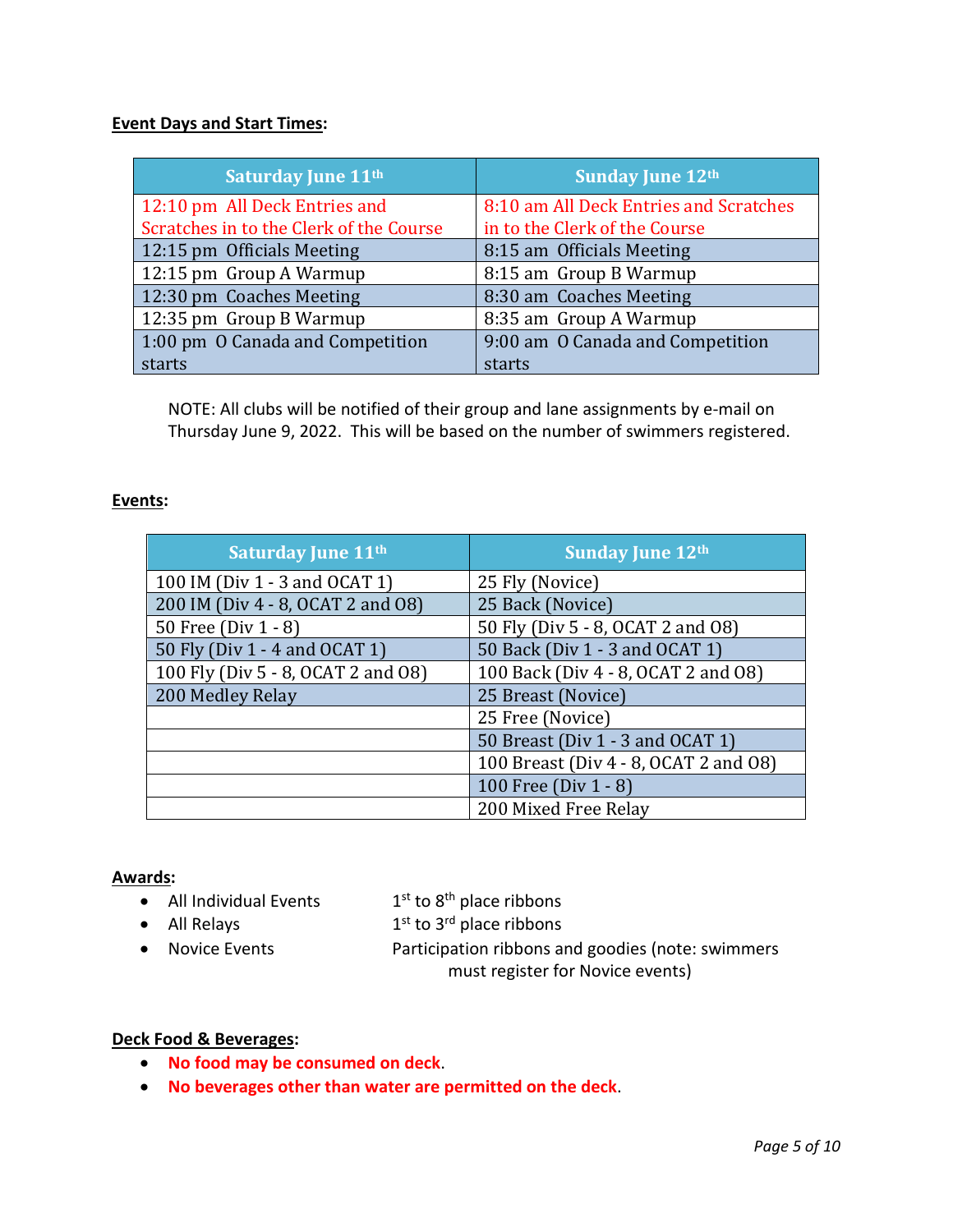## **Event Days and Start Times:**

| <b>Saturday June 11th</b>               | <b>Sunday June 12th</b>                |  |
|-----------------------------------------|----------------------------------------|--|
| 12:10 pm All Deck Entries and           | 8:10 am All Deck Entries and Scratches |  |
| Scratches in to the Clerk of the Course | in to the Clerk of the Course          |  |
| 12:15 pm Officials Meeting              | 8:15 am Officials Meeting              |  |
| 12:15 pm Group A Warmup                 | 8:15 am Group B Warmup                 |  |
| 12:30 pm Coaches Meeting                | 8:30 am Coaches Meeting                |  |
| 12:35 pm Group B Warmup                 | 8:35 am Group A Warmup                 |  |
| 1:00 pm O Canada and Competition        | 9:00 am O Canada and Competition       |  |
| starts                                  | starts                                 |  |

NOTE: All clubs will be notified of their group and lane assignments by e-mail on Thursday June 9, 2022. This will be based on the number of swimmers registered.

## **Events:**

| <b>Saturday June 11th</b>          | <b>Sunday June 12th</b>               |
|------------------------------------|---------------------------------------|
| 100 IM (Div 1 - 3 and OCAT 1)      | 25 Fly (Novice)                       |
| 200 IM (Div 4 - 8, OCAT 2 and O8)  | 25 Back (Novice)                      |
| 50 Free (Div 1 - 8)                | 50 Fly (Div 5 - 8, OCAT 2 and O8)     |
| 50 Fly (Div 1 - 4 and OCAT 1)      | 50 Back (Div 1 - 3 and OCAT 1)        |
| 100 Fly (Div 5 - 8, OCAT 2 and 08) | 100 Back (Div 4 - 8, OCAT 2 and 08)   |
| 200 Medley Relay                   | 25 Breast (Novice)                    |
|                                    | 25 Free (Novice)                      |
|                                    | 50 Breast (Div 1 - 3 and OCAT 1)      |
|                                    | 100 Breast (Div 4 - 8, OCAT 2 and 08) |
|                                    | 100 Free (Div 1 - 8)                  |
|                                    | 200 Mixed Free Relay                  |

#### **Awards:**

• All Individual Events  $1<sup>st</sup>$  to  $8<sup>th</sup>$  place ribbons

- All Relays  $1<sup>st</sup>$  to 3<sup>rd</sup> place ribbons
- 

• Novice Events Participation ribbons and goodies (note: swimmers

must register for Novice events)

## **Deck Food & Beverages:**

- **No food may be consumed on deck**.
- **No beverages other than water are permitted on the deck**.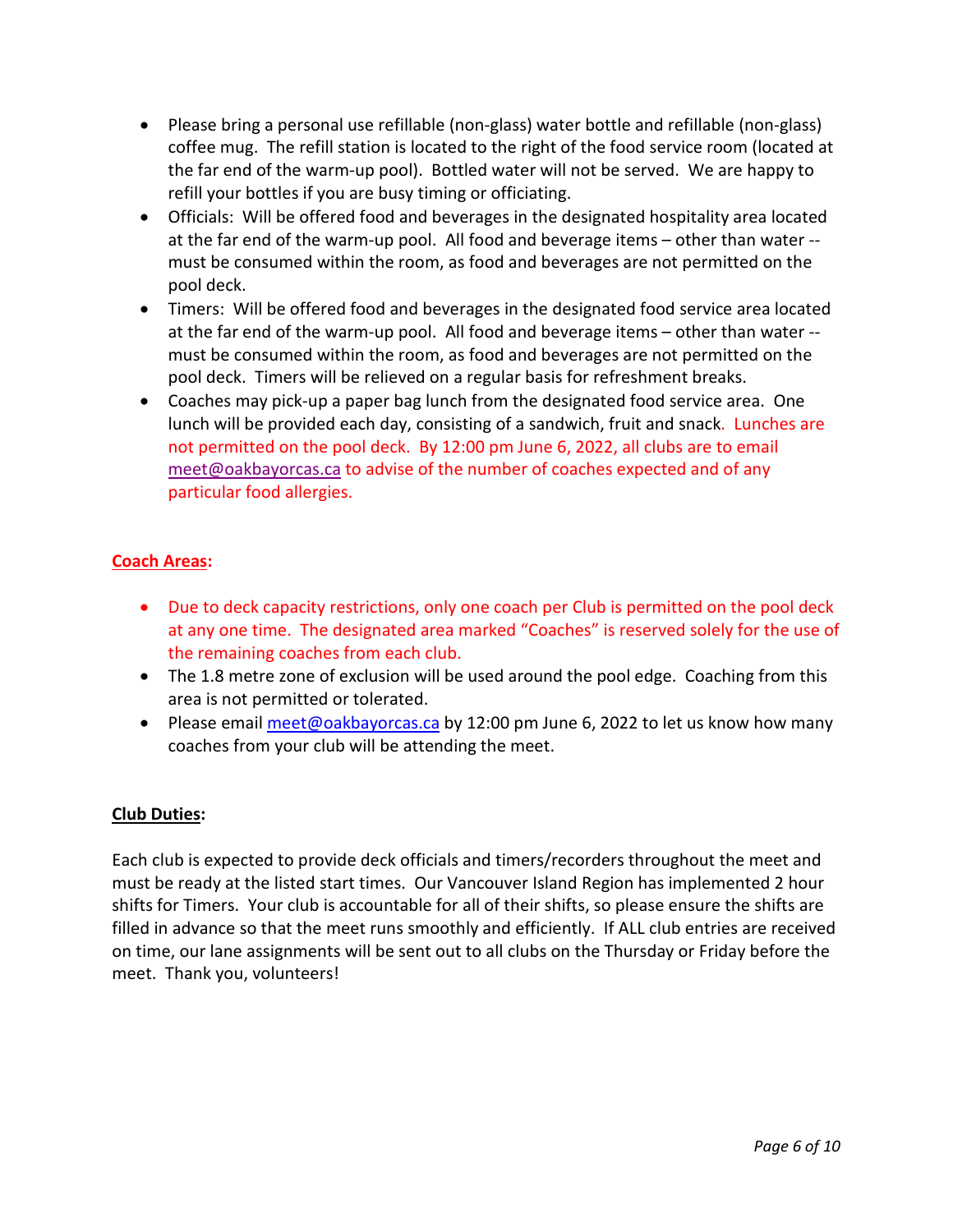- Please bring a personal use refillable (non-glass) water bottle and refillable (non-glass) coffee mug. The refill station is located to the right of the food service room (located at the far end of the warm-up pool). Bottled water will not be served. We are happy to refill your bottles if you are busy timing or officiating.
- Officials: Will be offered food and beverages in the designated hospitality area located at the far end of the warm-up pool. All food and beverage items – other than water - must be consumed within the room, as food and beverages are not permitted on the pool deck.
- Timers: Will be offered food and beverages in the designated food service area located at the far end of the warm-up pool. All food and beverage items – other than water - must be consumed within the room, as food and beverages are not permitted on the pool deck. Timers will be relieved on a regular basis for refreshment breaks.
- Coaches may pick-up a paper bag lunch from the designated food service area. One lunch will be provided each day, consisting of a sandwich, fruit and snack. Lunches are not permitted on the pool deck. By 12:00 pm June 6, 2022, all clubs are to email [meet@oakbayorcas.ca](mailto:meet@oakbayorcas.ca) to advise of the number of coaches expected and of any particular food allergies.

## **Coach Areas:**

- Due to deck capacity restrictions, only one coach per Club is permitted on the pool deck at any one time. The designated area marked "Coaches" is reserved solely for the use of the remaining coaches from each club.
- The 1.8 metre zone of exclusion will be used around the pool edge. Coaching from this area is not permitted or tolerated.
- Please email [meet@oakbayorcas.ca](mailto:meet@oakbayorcas.ca) by 12:00 pm June 6, 2022 to let us know how many coaches from your club will be attending the meet.

## **Club Duties:**

Each club is expected to provide deck officials and timers/recorders throughout the meet and must be ready at the listed start times. Our Vancouver Island Region has implemented 2 hour shifts for Timers. Your club is accountable for all of their shifts, so please ensure the shifts are filled in advance so that the meet runs smoothly and efficiently. If ALL club entries are received on time, our lane assignments will be sent out to all clubs on the Thursday or Friday before the meet. Thank you, volunteers!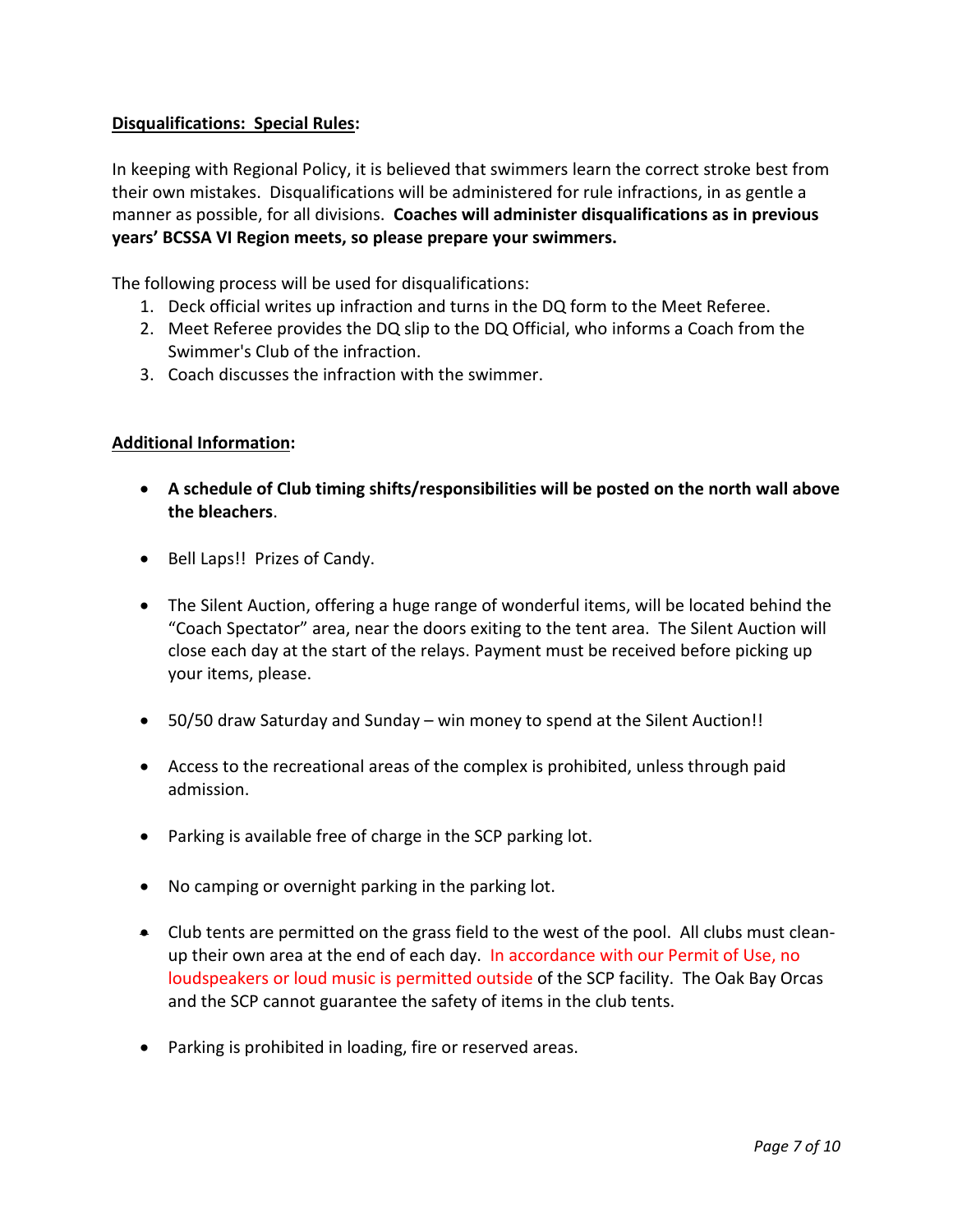## **Disqualifications: Special Rules:**

In keeping with Regional Policy, it is believed that swimmers learn the correct stroke best from their own mistakes. Disqualifications will be administered for rule infractions, in as gentle a manner as possible, for all divisions. **Coaches will administer disqualifications as in previous years' BCSSA VI Region meets, so please prepare your swimmers.** 

The following process will be used for disqualifications:

- 1. Deck official writes up infraction and turns in the DQ form to the Meet Referee.
- 2. Meet Referee provides the DQ slip to the DQ Official, who informs a Coach from the Swimmer's Club of the infraction.
- 3. Coach discusses the infraction with the swimmer.

## **Additional Information:**

- **A schedule of Club timing shifts/responsibilities will be posted on the north wall above the bleachers**.
- Bell Laps!! Prizes of Candy.
- The Silent Auction, offering a huge range of wonderful items, will be located behind the "Coach Spectator" area, near the doors exiting to the tent area. The Silent Auction will close each day at the start of the relays. Payment must be received before picking up your items, please.
- 50/50 draw Saturday and Sunday win money to spend at the Silent Auction!!
- Access to the recreational areas of the complex is prohibited, unless through paid admission.
- Parking is available free of charge in the SCP parking lot.
- No camping or overnight parking in the parking lot.
- Club tents are permitted on the grass field to the west of the pool. All clubs must cleanup their own area at the end of each day. In accordance with our Permit of Use, no loudspeakers or loud music is permitted outside of the SCP facility. The Oak Bay Orcas and the SCP cannot guarantee the safety of items in the club tents.
- Parking is prohibited in loading, fire or reserved areas.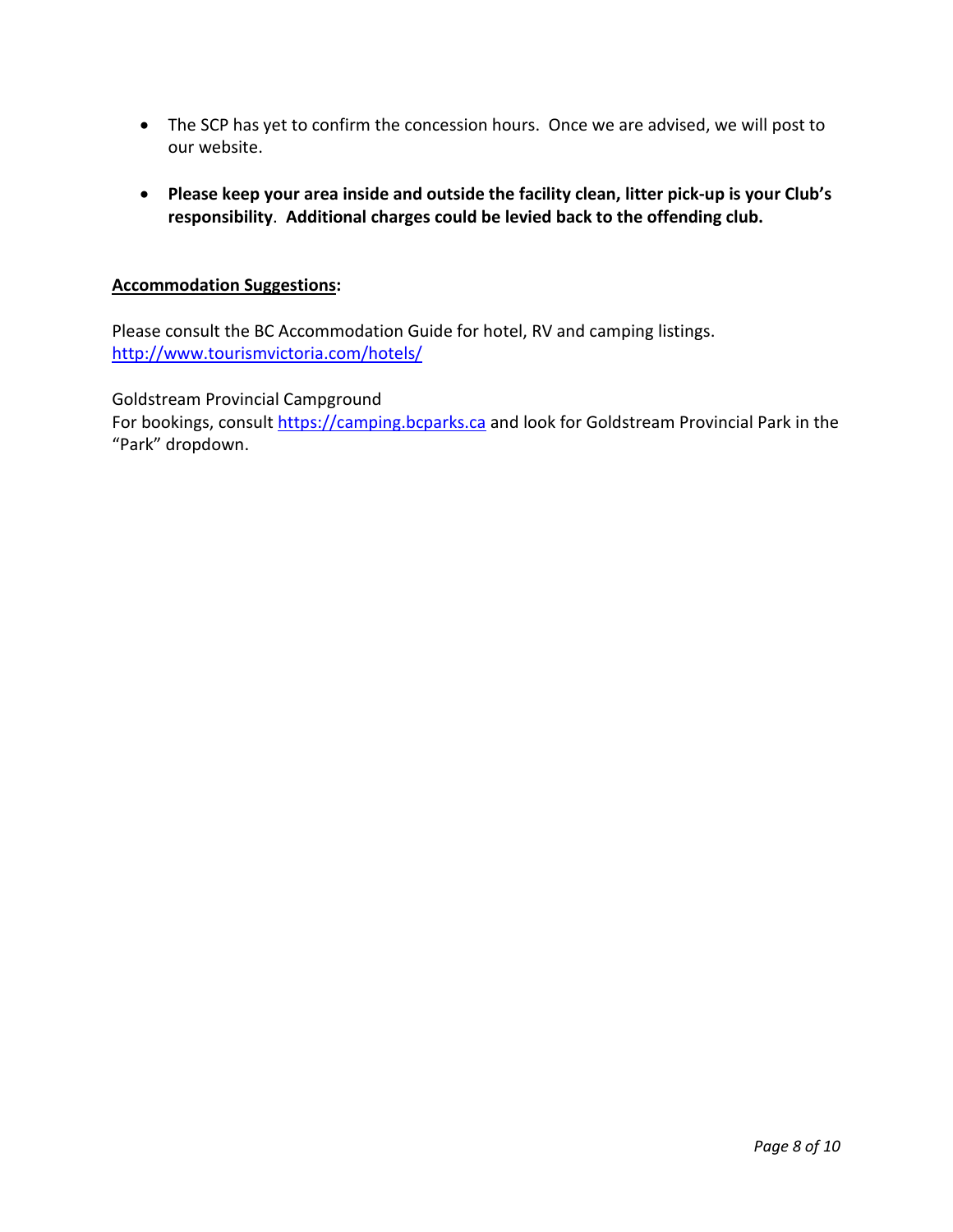- The SCP has yet to confirm the concession hours. Once we are advised, we will post to our website.
- **Please keep your area inside and outside the facility clean, litter pick-up is your Club's responsibility**. **Additional charges could be levied back to the offending club.**

## **Accommodation Suggestions:**

Please consult the BC Accommodation Guide for hotel, RV and camping listings. <http://www.tourismvictoria.com/hotels/>

Goldstream Provincial Campground

For bookings, consult [https://camping.bcparks.ca](https://camping.bcparks.ca/) and look for Goldstream Provincial Park in the "Park" dropdown.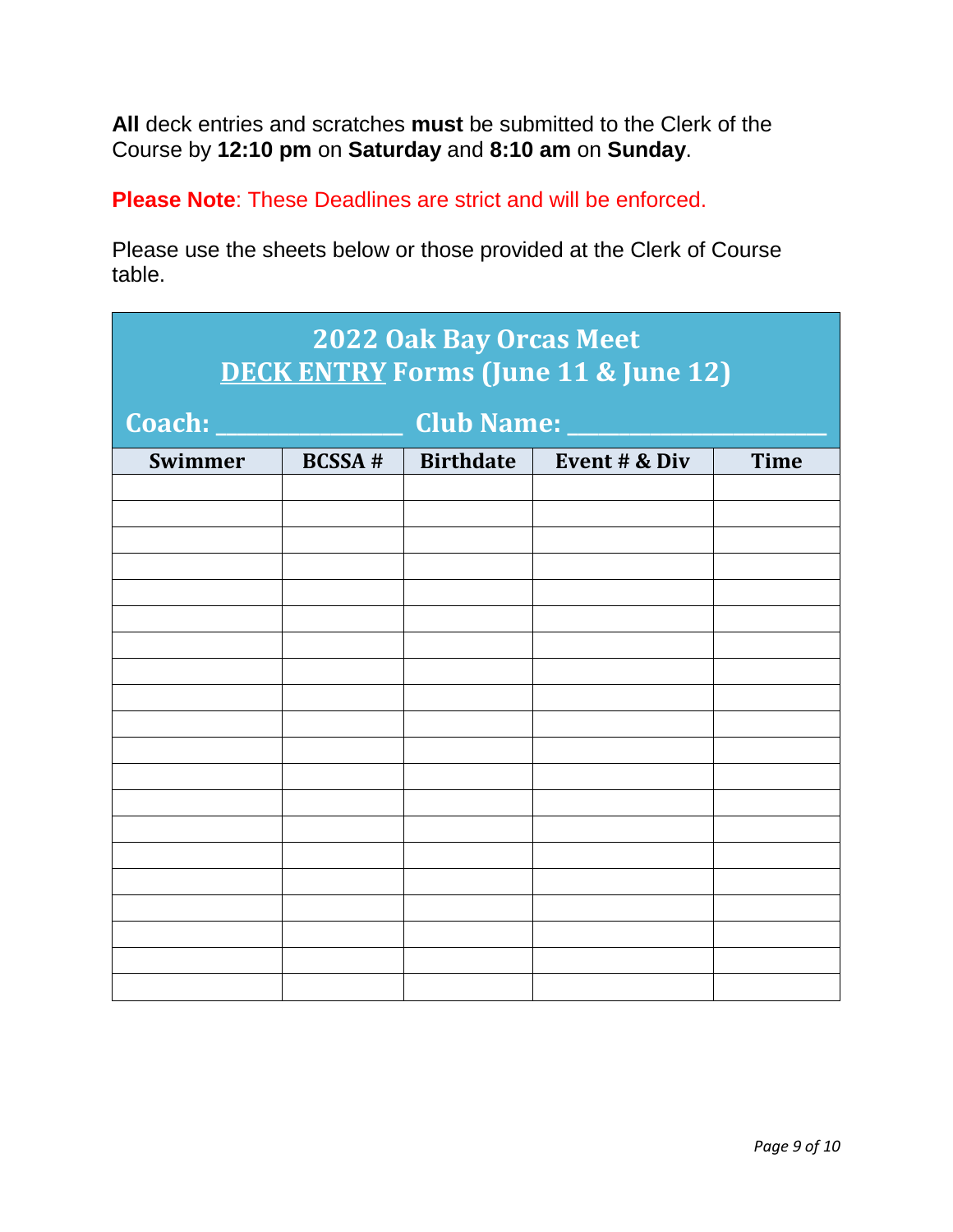**All** deck entries and scratches **must** be submitted to the Clerk of the Course by **12:10 pm** on **Saturday** and **8:10 am** on **Sunday**.

**Please Note**: These Deadlines are strict and will be enforced.

Please use the sheets below or those provided at the Clerk of Course table.

| <b>2022 Oak Bay Orcas Meet</b><br><b>DECK ENTRY Forms (June 11 &amp; June 12)</b> |               |                  |               |             |  |  |  |
|-----------------------------------------------------------------------------------|---------------|------------------|---------------|-------------|--|--|--|
| Coach: _<br><b>Club Name: _</b>                                                   |               |                  |               |             |  |  |  |
| Swimmer                                                                           | <b>BCSSA#</b> | <b>Birthdate</b> | Event # & Div | <b>Time</b> |  |  |  |
|                                                                                   |               |                  |               |             |  |  |  |
|                                                                                   |               |                  |               |             |  |  |  |
|                                                                                   |               |                  |               |             |  |  |  |
|                                                                                   |               |                  |               |             |  |  |  |
|                                                                                   |               |                  |               |             |  |  |  |
|                                                                                   |               |                  |               |             |  |  |  |
|                                                                                   |               |                  |               |             |  |  |  |
|                                                                                   |               |                  |               |             |  |  |  |
|                                                                                   |               |                  |               |             |  |  |  |
|                                                                                   |               |                  |               |             |  |  |  |
|                                                                                   |               |                  |               |             |  |  |  |
|                                                                                   |               |                  |               |             |  |  |  |
|                                                                                   |               |                  |               |             |  |  |  |
|                                                                                   |               |                  |               |             |  |  |  |
|                                                                                   |               |                  |               |             |  |  |  |
|                                                                                   |               |                  |               |             |  |  |  |
|                                                                                   |               |                  |               |             |  |  |  |